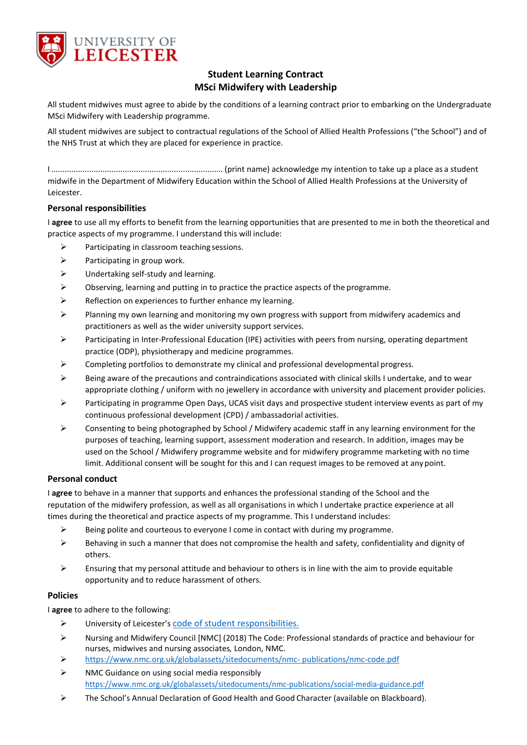

# **Student Learning Contract MSci Midwifery with Leadership**

All student midwives must agree to abide by the conditions of a learning contract prior to embarking on the Undergraduate MSci Midwifery with Leadership programme.

All student midwives are subject to contractual regulations of the School of Allied Health Professions ("the School") and of the NHS Trust at which they are placed for experience in practice.

I ............................................................................. (print name) acknowledge my intention to take up a place as a student midwife in the Department of Midwifery Education within the School of Allied Health Professions at the University of Leicester.

# **Personal responsibilities**

I **agree** to use all my efforts to benefit from the learning opportunities that are presented to me in both the theoretical and practice aspects of my programme. I understand this will include:

- $\triangleright$  Participating in classroom teaching sessions.
- $\triangleright$  Participating in group work.
- $\triangleright$  Undertaking self-study and learning.
- $\triangleright$  Observing, learning and putting in to practice the practice aspects of the programme.
- $\triangleright$  Reflection on experiences to further enhance my learning.
- $\triangleright$  Planning my own learning and monitoring my own progress with support from midwifery academics and practitioners as well as the wider university support services.
- $\triangleright$  Participating in Inter-Professional Education (IPE) activities with peers from nursing, operating department practice (ODP), physiotherapy and medicine programmes.
- Completing portfolios to demonstrate my clinical and professional developmental progress.
- Being aware of the precautions and contraindications associated with clinical skills I undertake, and to wear appropriate clothing / uniform with no jewellery in accordance with university and placement provider policies.
- Participating in programme Open Days, UCAS visit days and prospective student interview events as part of my continuous professional development (CPD) / ambassadorial activities.
- $\triangleright$  Consenting to being photographed by School / Midwifery academic staff in any learning environment for the purposes of teaching, learning support, assessment moderation and research. In addition, images may be used on the School / Midwifery programme website and for midwifery programme marketing with no time limit. Additional consent will be sought for this and I can request images to be removed at any point.

#### **Personal conduct**

I **agree** to behave in a manner that supports and enhances the professional standing of the School and the reputation of the midwifery profession, as well as all organisations in which I undertake practice experience at all times during the theoretical and practice aspects of my programme. This I understand includes:

- $\triangleright$  Being polite and courteous to everyone I come in contact with during my programme.
- $\triangleright$  Behaving in such a manner that does not compromise the health and safety, confidentiality and dignity of others.
- $\triangleright$  Ensuring that my personal attitude and behaviour to others is in line with the aim to provide equitable opportunity and to reduce harassment of others.

# **Policies**

I **agree** to adhere to the following:

- University of Leicester's [code of student responsibilities.](https://www2.le.ac.uk/offices/sas2/regulations/responsibilities)
- $\triangleright$  Nursing and Midwifery Council [NMC] (2018) The Code: Professional standards of practice and behaviour for nurses, midwives and nursing associates*,* London, NMC.
- [https://www.nmc.org.uk/globalassets/sitedocuments/nmc-](https://www.nmc.org.uk/globalassets/sitedocuments/nmc-publications/nmc-code.pdf) [publications/nmc-code.pdf](https://www.nmc.org.uk/globalassets/sitedocuments/nmc-publications/nmc-code.pdf)
- $\triangleright$  NMC Guidance on using social media responsibl[y](https://www.nmc.org.uk/globalassets/sitedocuments/nmc-publications/social-media-guidance.pdf) <https://www.nmc.org.uk/globalassets/sitedocuments/nmc-publications/social-media-guidance.pdf>
- The School's Annual Declaration of Good Health and Good Character (available on Blackboard).